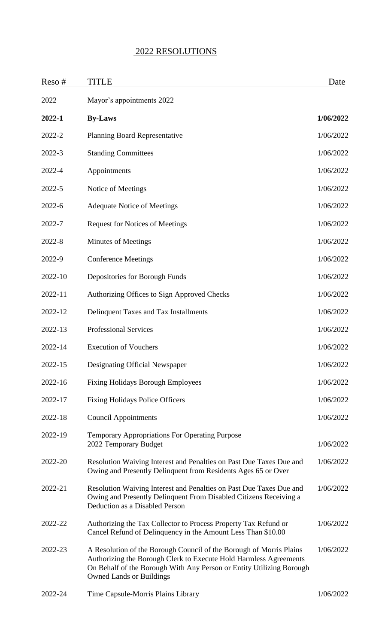## 2022 RESOLUTIONS

| Reso#      | <b>TITLE</b>                                                                                                                                                                                                                                        | Date      |
|------------|-----------------------------------------------------------------------------------------------------------------------------------------------------------------------------------------------------------------------------------------------------|-----------|
| 2022       | Mayor's appointments 2022                                                                                                                                                                                                                           |           |
| 2022-1     | <b>By-Laws</b>                                                                                                                                                                                                                                      | 1/06/2022 |
| 2022-2     | <b>Planning Board Representative</b>                                                                                                                                                                                                                | 1/06/2022 |
| 2022-3     | <b>Standing Committees</b>                                                                                                                                                                                                                          | 1/06/2022 |
| 2022-4     | Appointments                                                                                                                                                                                                                                        | 1/06/2022 |
| 2022-5     | Notice of Meetings                                                                                                                                                                                                                                  | 1/06/2022 |
| $2022 - 6$ | <b>Adequate Notice of Meetings</b>                                                                                                                                                                                                                  | 1/06/2022 |
| 2022-7     | <b>Request for Notices of Meetings</b>                                                                                                                                                                                                              | 1/06/2022 |
| 2022-8     | <b>Minutes of Meetings</b>                                                                                                                                                                                                                          | 1/06/2022 |
| 2022-9     | <b>Conference Meetings</b>                                                                                                                                                                                                                          | 1/06/2022 |
| 2022-10    | Depositories for Borough Funds                                                                                                                                                                                                                      | 1/06/2022 |
| 2022-11    | Authorizing Offices to Sign Approved Checks                                                                                                                                                                                                         | 1/06/2022 |
| 2022-12    | Delinquent Taxes and Tax Installments                                                                                                                                                                                                               | 1/06/2022 |
| 2022-13    | <b>Professional Services</b>                                                                                                                                                                                                                        | 1/06/2022 |
| 2022-14    | <b>Execution of Vouchers</b>                                                                                                                                                                                                                        | 1/06/2022 |
| 2022-15    | Designating Official Newspaper                                                                                                                                                                                                                      | 1/06/2022 |
| 2022-16    | <b>Fixing Holidays Borough Employees</b>                                                                                                                                                                                                            | 1/06/2022 |
| 2022-17    | <b>Fixing Holidays Police Officers</b>                                                                                                                                                                                                              | 1/06/2022 |
| 2022-18    | <b>Council Appointments</b>                                                                                                                                                                                                                         | 1/06/2022 |
| 2022-19    | <b>Temporary Appropriations For Operating Purpose</b><br>2022 Temporary Budget                                                                                                                                                                      | 1/06/2022 |
| 2022-20    | Resolution Waiving Interest and Penalties on Past Due Taxes Due and<br>Owing and Presently Delinquent from Residents Ages 65 or Over                                                                                                                | 1/06/2022 |
| 2022-21    | Resolution Waiving Interest and Penalties on Past Due Taxes Due and<br>Owing and Presently Delinquent From Disabled Citizens Receiving a<br>Deduction as a Disabled Person                                                                          | 1/06/2022 |
| 2022-22    | Authorizing the Tax Collector to Process Property Tax Refund or<br>Cancel Refund of Delinquency in the Amount Less Than \$10.00                                                                                                                     | 1/06/2022 |
| 2022-23    | A Resolution of the Borough Council of the Borough of Morris Plains<br>Authorizing the Borough Clerk to Execute Hold Harmless Agreements<br>On Behalf of the Borough With Any Person or Entity Utilizing Borough<br><b>Owned Lands or Buildings</b> | 1/06/2022 |
| 2022-24    | Time Capsule-Morris Plains Library                                                                                                                                                                                                                  | 1/06/2022 |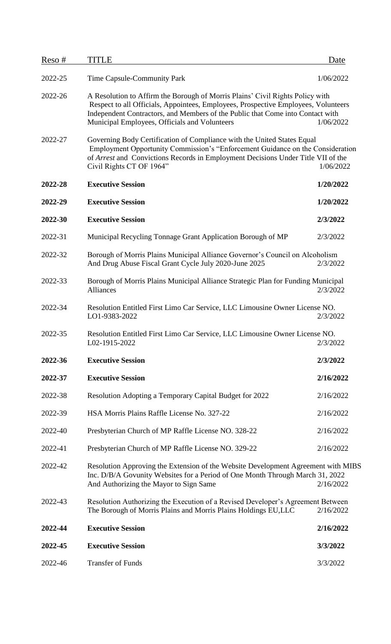| Reso#   | TITLE                                                                                                                                                                                                                                                                                                  | Date      |
|---------|--------------------------------------------------------------------------------------------------------------------------------------------------------------------------------------------------------------------------------------------------------------------------------------------------------|-----------|
| 2022-25 | Time Capsule-Community Park                                                                                                                                                                                                                                                                            | 1/06/2022 |
| 2022-26 | A Resolution to Affirm the Borough of Morris Plains' Civil Rights Policy with<br>Respect to all Officials, Appointees, Employees, Prospective Employees, Volunteers<br>Independent Contractors, and Members of the Public that Come into Contact with<br>Municipal Employees, Officials and Volunteers | 1/06/2022 |
| 2022-27 | Governing Body Certification of Compliance with the United States Equal<br>Employment Opportunity Commission's "Enforcement Guidance on the Consideration<br>of Arrest and Convictions Records in Employment Decisions Under Title VII of the<br>Civil Rights CT OF 1964"                              | 1/06/2022 |
| 2022-28 | <b>Executive Session</b>                                                                                                                                                                                                                                                                               | 1/20/2022 |
| 2022-29 | <b>Executive Session</b>                                                                                                                                                                                                                                                                               | 1/20/2022 |
| 2022-30 | <b>Executive Session</b>                                                                                                                                                                                                                                                                               | 2/3/2022  |
| 2022-31 | Municipal Recycling Tonnage Grant Application Borough of MP                                                                                                                                                                                                                                            | 2/3/2022  |
| 2022-32 | Borough of Morris Plains Municipal Alliance Governor's Council on Alcoholism<br>And Drug Abuse Fiscal Grant Cycle July 2020-June 2025                                                                                                                                                                  | 2/3/2022  |
| 2022-33 | Borough of Morris Plains Municipal Alliance Strategic Plan for Funding Municipal<br><b>Alliances</b>                                                                                                                                                                                                   | 2/3/2022  |
| 2022-34 | Resolution Entitled First Limo Car Service, LLC Limousine Owner License NO.<br>LO1-9383-2022                                                                                                                                                                                                           | 2/3/2022  |
| 2022-35 | Resolution Entitled First Limo Car Service, LLC Limousine Owner License NO.<br>L02-1915-2022                                                                                                                                                                                                           | 2/3/2022  |
| 2022-36 | <b>Executive Session</b>                                                                                                                                                                                                                                                                               | 2/3/2022  |
| 2022-37 | <b>Executive Session</b>                                                                                                                                                                                                                                                                               | 2/16/2022 |
| 2022-38 | Resolution Adopting a Temporary Capital Budget for 2022                                                                                                                                                                                                                                                | 2/16/2022 |
| 2022-39 | HSA Morris Plains Raffle License No. 327-22                                                                                                                                                                                                                                                            | 2/16/2022 |
| 2022-40 | Presbyterian Church of MP Raffle License NO. 328-22                                                                                                                                                                                                                                                    | 2/16/2022 |
| 2022-41 | Presbyterian Church of MP Raffle License NO. 329-22                                                                                                                                                                                                                                                    | 2/16/2022 |
| 2022-42 | Resolution Approving the Extension of the Website Development Agreement with MIBS<br>Inc. D/B/A Govunity Websites for a Period of One Month Through March 31, 2022<br>And Authorizing the Mayor to Sign Same                                                                                           | 2/16/2022 |
| 2022-43 | Resolution Authorizing the Execution of a Revised Developer's Agreement Between<br>The Borough of Morris Plains and Morris Plains Holdings EU,LLC                                                                                                                                                      | 2/16/2022 |
| 2022-44 | <b>Executive Session</b>                                                                                                                                                                                                                                                                               | 2/16/2022 |
| 2022-45 | <b>Executive Session</b>                                                                                                                                                                                                                                                                               | 3/3/2022  |
| 2022-46 | <b>Transfer of Funds</b>                                                                                                                                                                                                                                                                               | 3/3/2022  |